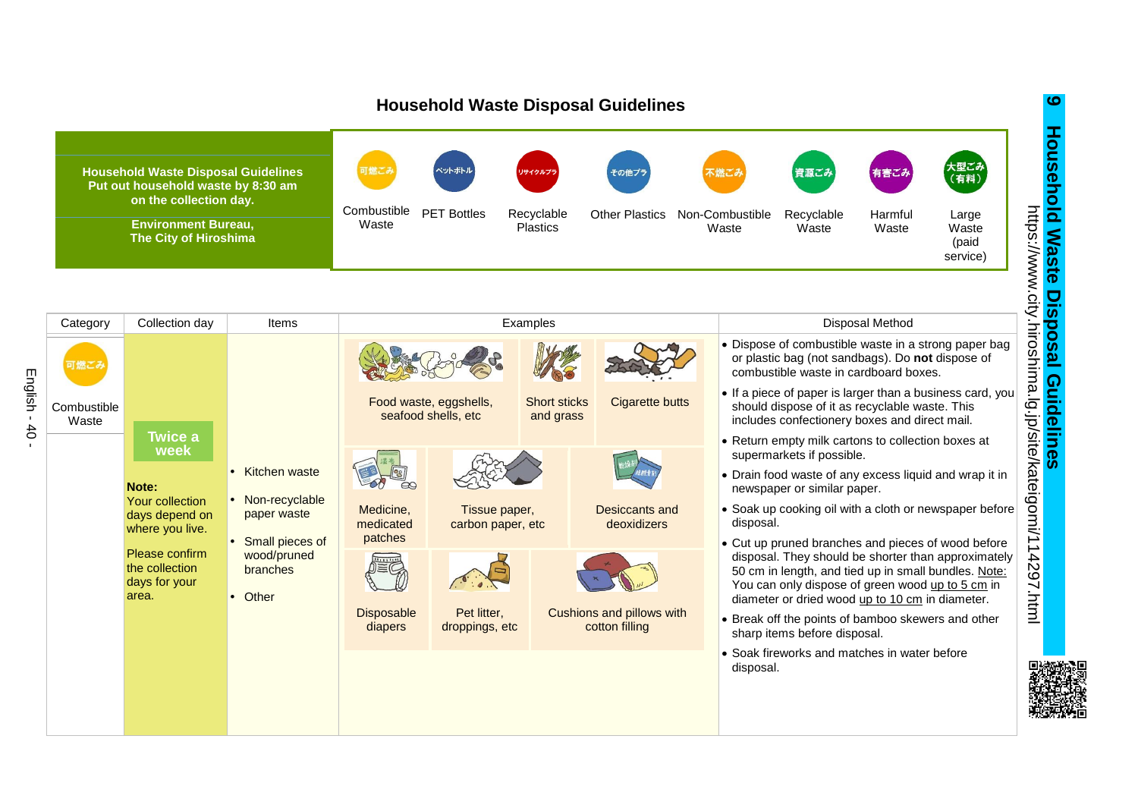

English -

 $4<sub>0</sub>$ 

**Household Waste Disposal Guidelines Household Waste Disposal Guidelines**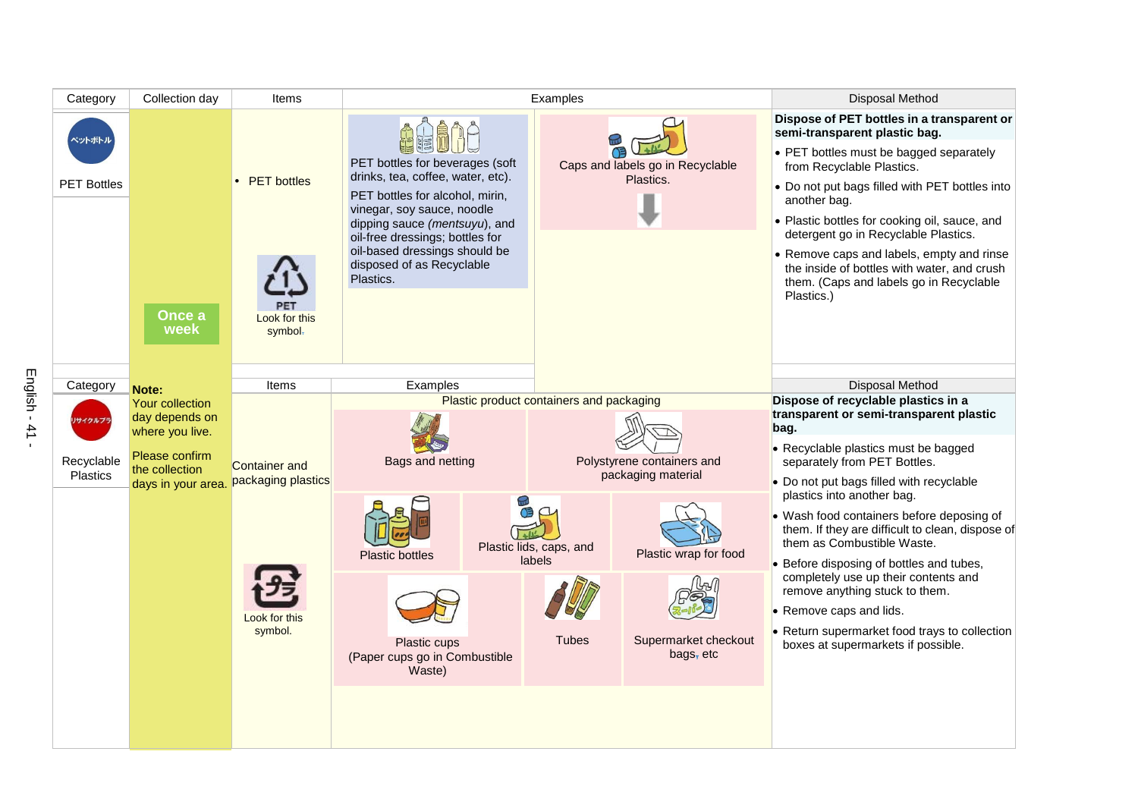| Category                          | Collection day                                                                                                 | Items                                          | Examples                                                                                                                                                                                                                                                                             | Disposal Method                                                                                    |                                                                                                                                                                                                                                                                                                                                                                                                                                                                     |
|-----------------------------------|----------------------------------------------------------------------------------------------------------------|------------------------------------------------|--------------------------------------------------------------------------------------------------------------------------------------------------------------------------------------------------------------------------------------------------------------------------------------|----------------------------------------------------------------------------------------------------|---------------------------------------------------------------------------------------------------------------------------------------------------------------------------------------------------------------------------------------------------------------------------------------------------------------------------------------------------------------------------------------------------------------------------------------------------------------------|
| ペットボトル<br><b>PET Bottles</b>      | Once a<br>week                                                                                                 | <b>PET</b> bottles<br>Look for this<br>symbol- | PET bottles for beverages (soft<br>drinks, tea, coffee, water, etc).<br>PET bottles for alcohol, mirin,<br>vinegar, soy sauce, noodle<br>dipping sauce (mentsuyu), and<br>oil-free dressings; bottles for<br>oil-based dressings should be<br>disposed of as Recyclable<br>Plastics. | Caps and labels go in Recyclable<br>Plastics.                                                      | Dispose of PET bottles in a transparent or<br>semi-transparent plastic bag.<br>• PET bottles must be bagged separately<br>from Recyclable Plastics.<br>• Do not put bags filled with PET bottles into<br>another bag.<br>• Plastic bottles for cooking oil, sauce, and<br>detergent go in Recyclable Plastics.<br>• Remove caps and labels, empty and rinse<br>the inside of bottles with water, and crush<br>them. (Caps and labels go in Recyclable<br>Plastics.) |
| Category                          | Note:                                                                                                          | Items                                          | Examples                                                                                                                                                                                                                                                                             |                                                                                                    | <b>Disposal Method</b>                                                                                                                                                                                                                                                                                                                                                                                                                                              |
| リサイクルプラ<br>Recyclable<br>Plastics | Your collection<br>day depends on<br>where you live.<br>Please confirm<br>the collection<br>days in your area. | <b>Container and</b><br>packaging plastics     | Plastic product containers and packaging<br>Bags and netting<br>Polystyrene containers and<br>packaging material                                                                                                                                                                     |                                                                                                    | Dispose of recyclable plastics in a<br>transparent or semi-transparent plastic<br>bag.<br>• Recyclable plastics must be bagged<br>separately from PET Bottles.<br>• Do not put bags filled with recyclable                                                                                                                                                                                                                                                          |
|                                   |                                                                                                                | Look for this<br>symbol.                       | <b>Plastic bottles</b><br>Plastic cups                                                                                                                                                                                                                                               | Plastic lids, caps, and<br>Plastic wrap for food<br>labels<br><b>Tubes</b><br>Supermarket checkout | plastics into another bag.<br>• Wash food containers before deposing of<br>them. If they are difficult to clean, dispose of<br>them as Combustible Waste.<br>• Before disposing of bottles and tubes,<br>completely use up their contents and<br>remove anything stuck to them.<br>• Remove caps and lids.<br>• Return supermarket food trays to collection                                                                                                         |
|                                   |                                                                                                                |                                                | (Paper cups go in Combustible<br>Waste)                                                                                                                                                                                                                                              | bags, $etc$                                                                                        | boxes at supermarkets if possible.                                                                                                                                                                                                                                                                                                                                                                                                                                  |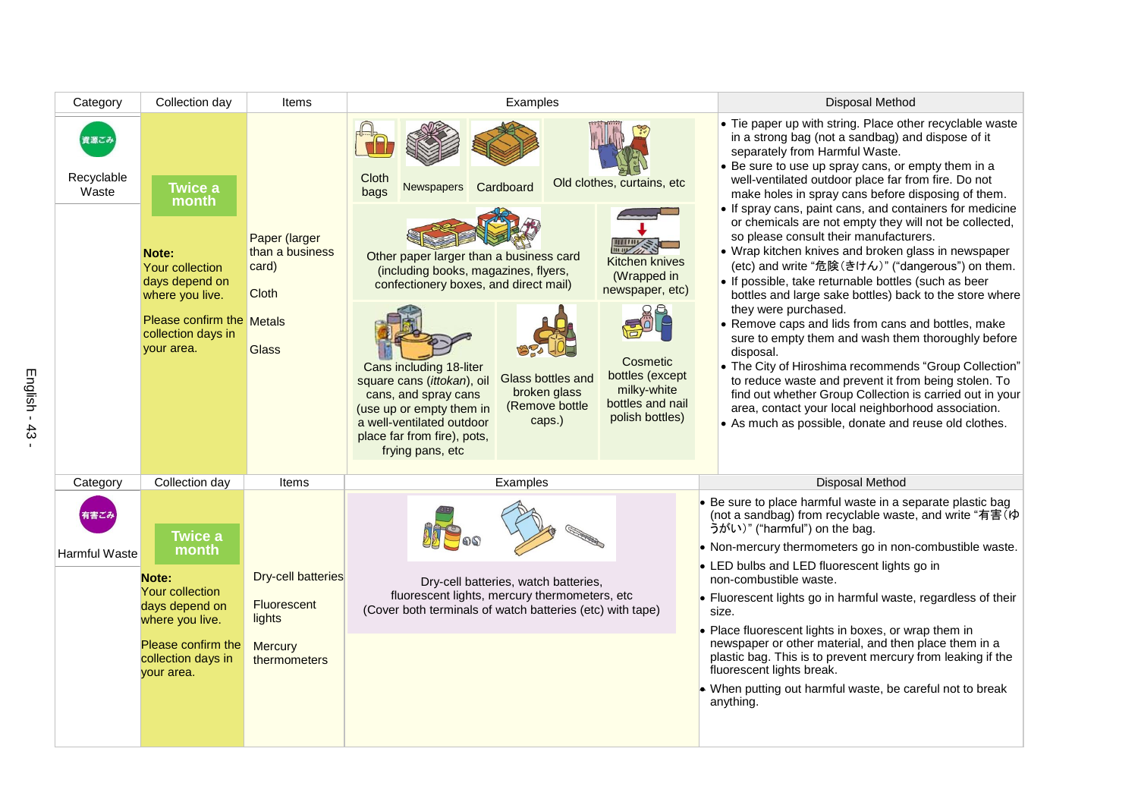| Category             | Collection day                                                                                  | Items                                                                                                  | Examples                                                                                                                                                                                                                                                                                                                                        | <b>Disposal Method</b>                                                                                                                                                                                                                                                                                                                                                                                                                                                                                                                                                                                                                                                                                           |
|----------------------|-------------------------------------------------------------------------------------------------|--------------------------------------------------------------------------------------------------------|-------------------------------------------------------------------------------------------------------------------------------------------------------------------------------------------------------------------------------------------------------------------------------------------------------------------------------------------------|------------------------------------------------------------------------------------------------------------------------------------------------------------------------------------------------------------------------------------------------------------------------------------------------------------------------------------------------------------------------------------------------------------------------------------------------------------------------------------------------------------------------------------------------------------------------------------------------------------------------------------------------------------------------------------------------------------------|
| Recyclable<br>Waste  | <b>Twice a</b><br>month<br>Note:<br><b>Your collection</b><br>days depend on<br>where you live. | Paper (larger<br>than a business<br>card)<br><b>Cloth</b><br>Please confirm the Metals<br><b>Glass</b> | Cloth<br>Old clothes, curtains, etc<br>Cardboard<br><b>Newspapers</b><br>bags<br>Other paper larger than a business card<br><b>Kitchen knives</b><br>(including books, magazines, flyers,<br>(Wrapped in<br>confectionery boxes, and direct mail)<br>newspaper, etc)                                                                            | • Tie paper up with string. Place other recyclable waste<br>in a strong bag (not a sandbag) and dispose of it<br>separately from Harmful Waste.<br>• Be sure to use up spray cans, or empty them in a<br>well-ventilated outdoor place far from fire. Do not<br>make holes in spray cans before disposing of them.<br>• If spray cans, paint cans, and containers for medicine<br>or chemicals are not empty they will not be collected,<br>so please consult their manufacturers.<br>• Wrap kitchen knives and broken glass in newspaper<br>(etc) and write "危険(きけん)" ("dangerous") on them.<br>• If possible, take returnable bottles (such as beer<br>bottles and large sake bottles) back to the store where |
|                      | collection days in<br>your area.                                                                |                                                                                                        | Cosmetic<br>Cans including 18-liter<br>bottles (except<br>Glass bottles and<br>square cans (ittokan), oil<br>milky-white<br>broken glass<br>cans, and spray cans<br>bottles and nail<br>(Remove bottle<br>(use up or empty them in<br>polish bottles)<br>caps.)<br>a well-ventilated outdoor<br>place far from fire), pots,<br>frying pans, etc | they were purchased.<br>• Remove caps and lids from cans and bottles, make<br>sure to empty them and wash them thoroughly before<br>disposal.<br>• The City of Hiroshima recommends "Group Collection"<br>to reduce waste and prevent it from being stolen. To<br>find out whether Group Collection is carried out in your<br>area, contact your local neighborhood association.<br>• As much as possible, donate and reuse old clothes.                                                                                                                                                                                                                                                                         |
| Category             | Collection day                                                                                  | Items                                                                                                  | Examples                                                                                                                                                                                                                                                                                                                                        | <b>Disposal Method</b>                                                                                                                                                                                                                                                                                                                                                                                                                                                                                                                                                                                                                                                                                           |
| <b>Harmful Waste</b> | <b>Twice a</b><br>month                                                                         |                                                                                                        |                                                                                                                                                                                                                                                                                                                                                 | • Be sure to place harmful waste in a separate plastic bag<br>(not a sandbag) from recyclable waste, and write "有害(ゆ<br>うがい)" ("harmful") on the bag.<br>• Non-mercury thermometers go in non-combustible waste.                                                                                                                                                                                                                                                                                                                                                                                                                                                                                                 |
|                      | Note:<br>Your collection<br>days depend on<br>where you live.                                   | <b>Dry-cell batteries</b><br>Fluorescent<br>lights                                                     | Dry-cell batteries, watch batteries,<br>fluorescent lights, mercury thermometers, etc<br>(Cover both terminals of watch batteries (etc) with tape)                                                                                                                                                                                              | • LED bulbs and LED fluorescent lights go in<br>non-combustible waste.<br>• Fluorescent lights go in harmful waste, regardless of their<br>size.<br>• Place fluorescent lights in boxes, or wrap them in                                                                                                                                                                                                                                                                                                                                                                                                                                                                                                         |
|                      | Please confirm the<br>collection days in<br>your area.                                          | <b>Mercury</b><br>thermometers                                                                         |                                                                                                                                                                                                                                                                                                                                                 | newspaper or other material, and then place them in a<br>plastic bag. This is to prevent mercury from leaking if the<br>fluorescent lights break.<br>• When putting out harmful waste, be careful not to break<br>anything.                                                                                                                                                                                                                                                                                                                                                                                                                                                                                      |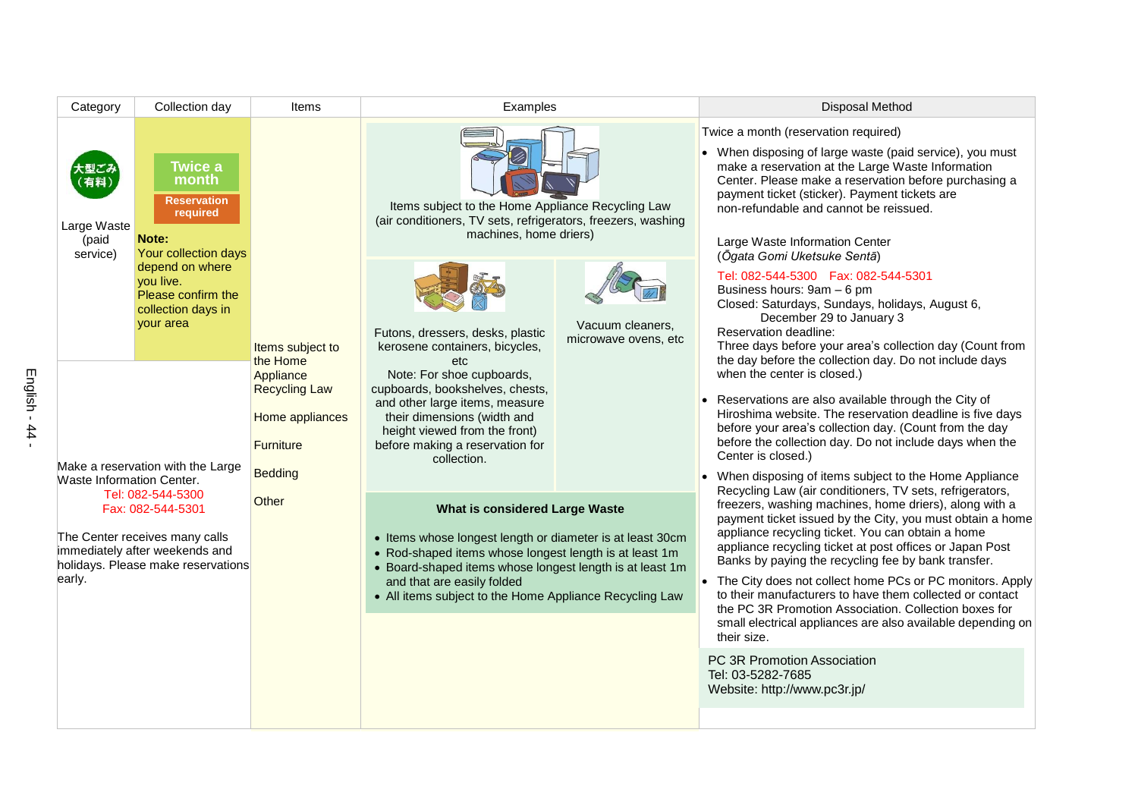| Category                                                                                                                                                                                                                                                                                                               | Collection day                                                                                                                                                                      | Items                                     | Examples                                                                                                                                                                                                                                                                                                   |                                                                                  | Disposal Method                                                                                                                                                                                                                                                                                                                                                                                                                                                                                                                                                                                                          |
|------------------------------------------------------------------------------------------------------------------------------------------------------------------------------------------------------------------------------------------------------------------------------------------------------------------------|-------------------------------------------------------------------------------------------------------------------------------------------------------------------------------------|-------------------------------------------|------------------------------------------------------------------------------------------------------------------------------------------------------------------------------------------------------------------------------------------------------------------------------------------------------------|----------------------------------------------------------------------------------|--------------------------------------------------------------------------------------------------------------------------------------------------------------------------------------------------------------------------------------------------------------------------------------------------------------------------------------------------------------------------------------------------------------------------------------------------------------------------------------------------------------------------------------------------------------------------------------------------------------------------|
| Large Waste<br>(paid<br>service)                                                                                                                                                                                                                                                                                       | <b>Twice a</b><br>month<br><b>Reservation</b><br>required<br>Note:<br>Your collection days<br>depend on where<br>vou live.<br>Please confirm the<br>collection days in<br>your area | Items subject to<br>the Home<br>Appliance | Items subject to the Home Appliance Recycling Law<br>(air conditioners, TV sets, refrigerators, freezers, washing<br>machines, home driers)                                                                                                                                                                |                                                                                  | Twice a month (reservation required)<br>• When disposing of large waste (paid service), you must<br>make a reservation at the Large Waste Information<br>Center. Please make a reservation before purchasing a<br>payment ticket (sticker). Payment tickets are<br>non-refundable and cannot be reissued.<br>Large Waste Information Center                                                                                                                                                                                                                                                                              |
|                                                                                                                                                                                                                                                                                                                        |                                                                                                                                                                                     |                                           | Futons, dressers, desks, plastic<br>kerosene containers, bicycles,<br>etc<br>Note: For shoe cupboards,                                                                                                                                                                                                     | Vacuum cleaners.<br>microwave ovens, etc                                         | (Ōgata Gomi Uketsuke Sentā)<br>Tel: 082-544-5300    Fax: 082-544-5301<br>Business hours: 9am - 6 pm<br>Closed: Saturdays, Sundays, holidays, August 6,<br>December 29 to January 3<br>Reservation deadline:<br>Three days before your area's collection day (Count from<br>the day before the collection day. Do not include days<br>when the center is closed.)                                                                                                                                                                                                                                                         |
| <b>Recycling Law</b><br>Home appliances<br><b>Furniture</b><br>Make a reservation with the Large<br><b>Bedding</b><br>Waste Information Center.<br>Tel: 082-544-5300<br>Other<br>Fax: 082-544-5301<br>The Center receives many calls<br>immediately after weekends and<br>holidays. Please make reservations<br>early. |                                                                                                                                                                                     |                                           | cupboards, bookshelves, chests,<br>and other large items, measure<br>their dimensions (width and<br>height viewed from the front)<br>before making a reservation for<br>collection.                                                                                                                        |                                                                                  | Reservations are also available through the City of<br>Hiroshima website. The reservation deadline is five days<br>before your area's collection day. (Count from the day<br>before the collection day. Do not include days when the<br>Center is closed.)<br>• When disposing of items subject to the Home Appliance                                                                                                                                                                                                                                                                                                    |
|                                                                                                                                                                                                                                                                                                                        |                                                                                                                                                                                     |                                           | What is considered Large Waste<br>• Items whose longest length or diameter is at least 30cm<br>• Rod-shaped items whose longest length is at least 1m<br>• Board-shaped items whose longest length is at least 1m<br>and that are easily folded<br>• All items subject to the Home Appliance Recycling Law |                                                                                  | Recycling Law (air conditioners, TV sets, refrigerators,<br>freezers, washing machines, home driers), along with a<br>payment ticket issued by the City, you must obtain a home<br>appliance recycling ticket. You can obtain a home<br>appliance recycling ticket at post offices or Japan Post<br>Banks by paying the recycling fee by bank transfer.<br>• The City does not collect home PCs or PC monitors. Apply<br>to their manufacturers to have them collected or contact<br>the PC 3R Promotion Association. Collection boxes for<br>small electrical appliances are also available depending on<br>their size. |
|                                                                                                                                                                                                                                                                                                                        |                                                                                                                                                                                     |                                           |                                                                                                                                                                                                                                                                                                            | PC 3R Promotion Association<br>Tel: 03-5282-7685<br>Website: http://www.pc3r.jp/ |                                                                                                                                                                                                                                                                                                                                                                                                                                                                                                                                                                                                                          |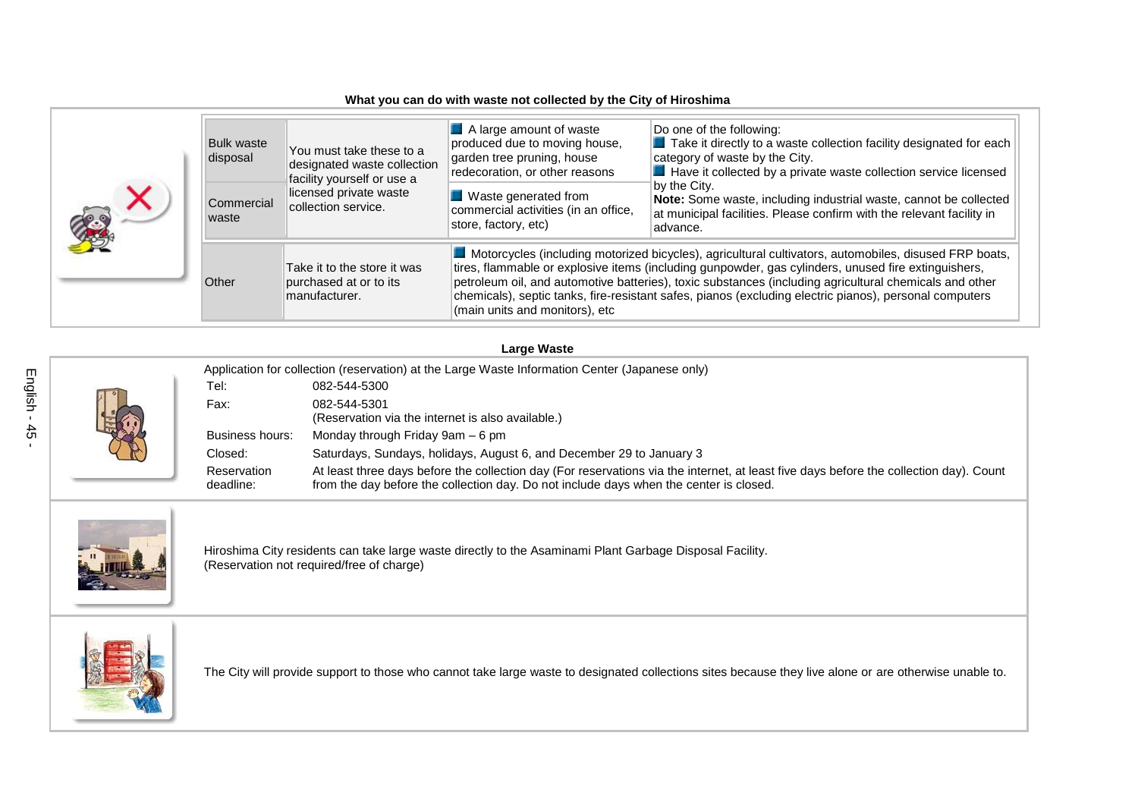## **What you can do with waste not collected by the City of Hiroshima**

| <b>Bulk waste</b><br>disposal | You must take these to a<br>designated waste collection<br>facility yourself or use a<br>licensed private waste<br>collection service. | $\blacksquare$ A large amount of waste<br>produced due to moving house,<br>garden tree pruning, house<br>redecoration, or other reasons | Do one of the following:<br>Take it directly to a waste collection facility designated for each<br>category of waste by the City.<br>Have it collected by a private waste collection service licensed                                                                                                                                                                                                                            |
|-------------------------------|----------------------------------------------------------------------------------------------------------------------------------------|-----------------------------------------------------------------------------------------------------------------------------------------|----------------------------------------------------------------------------------------------------------------------------------------------------------------------------------------------------------------------------------------------------------------------------------------------------------------------------------------------------------------------------------------------------------------------------------|
| Commercial<br>waste           |                                                                                                                                        | Waste generated from<br>commercial activities (in an office,<br>store, factory, etc)                                                    | bv the Citv.<br>Note: Some waste, including industrial waste, cannot be collected<br>at municipal facilities. Please confirm with the relevant facility in<br>advance.                                                                                                                                                                                                                                                           |
| Other                         | Take it to the store it was<br>purchased at or to its<br>manufacturer.                                                                 | (main units and monitors), etc                                                                                                          | Motorcycles (including motorized bicycles), agricultural cultivators, automobiles, disused FRP boats,<br>tires, flammable or explosive items (including gunpowder, gas cylinders, unused fire extinguishers,<br>petroleum oil, and automotive batteries), toxic substances (including agricultural chemicals and other<br>chemicals), septic tanks, fire-resistant safes, pianos (excluding electric pianos), personal computers |

## **Large Waste**

|  | Application for collection (reservation) at the Large Waste Information Center (Japanese only) |                                                                                                                                                                                                                                  |  |  |  |
|--|------------------------------------------------------------------------------------------------|----------------------------------------------------------------------------------------------------------------------------------------------------------------------------------------------------------------------------------|--|--|--|
|  | Tel:                                                                                           | 082-544-5300                                                                                                                                                                                                                     |  |  |  |
|  | Fax:                                                                                           | 082-544-5301<br>(Reservation via the internet is also available.)                                                                                                                                                                |  |  |  |
|  | Business hours:                                                                                | Monday through Friday 9am – 6 pm                                                                                                                                                                                                 |  |  |  |
|  | Closed:                                                                                        | Saturdays, Sundays, holidays, August 6, and December 29 to January 3                                                                                                                                                             |  |  |  |
|  | Reservation<br>deadline:                                                                       | At least three days before the collection day (For reservations via the internet, at least five days before the collection day). Count<br>from the day before the collection day. Do not include days when the center is closed. |  |  |  |



Hiroshima City residents can take large waste directly to the Asaminami Plant Garbage Disposal Facility. (Reservation not required/free of charge)



The City will provide support to those who cannot take large waste to designated collections sites because they live alone or are otherwise unable to.